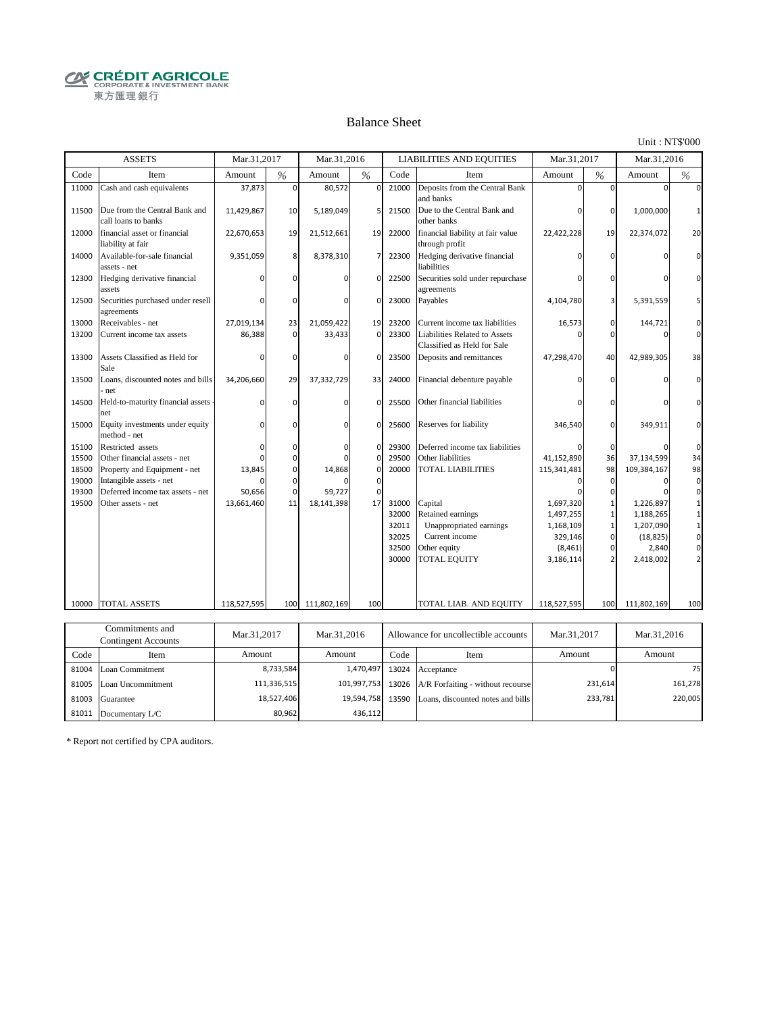**CRÉDIT AGRICOLE** 東方匯理銀行

#### Balance Sheet

Unit : NT\$'000

|       | <b>ASSETS</b>                                        | Mar.31.2017 |          | Mar.31,2016     |             |       | <b>LIABILITIES AND EQUITIES</b>                              | Mar.31.2017 |          | Mar.31.2016 |          |
|-------|------------------------------------------------------|-------------|----------|-----------------|-------------|-------|--------------------------------------------------------------|-------------|----------|-------------|----------|
| Code  | Item                                                 | Amount      | %        | Amount          | %           | Code  | Item                                                         | Amount      | %        | Amount      | %        |
| 11000 | Cash and cash equivalents                            | 37,873      | 0        | 80,572          | $\mathbf 0$ | 21000 | Deposits from the Central Bank<br>and banks                  |             | $\Omega$ |             |          |
| 11500 | Due from the Central Bank and<br>call loans to banks | 11,429,867  | 10       | 5,189,049       | 5           | 21500 | Due to the Central Bank and<br>other banks                   |             | 0        | 1,000,000   |          |
| 12000 | financial asset or financial<br>liability at fair    | 22,670,653  | 19       | 21,512,661      | 19          | 22000 | financial liability at fair value<br>through profit          | 22,422,228  | 19       | 22,374,072  | 20       |
| 14000 | Available-for-sale financial<br>assets - net         | 9,351,059   | 8        | 8,378,310       | 7           | 22300 | Hedging derivative financial<br>liabilities                  |             |          |             |          |
| 12300 | Hedging derivative financial<br>assets               |             | $\Omega$ |                 | 0           | 22500 | Securities sold under repurchase<br>agreements               |             |          |             |          |
| 12500 | Securities purchased under resell<br>agreements      | n           | $\Omega$ | <sup>0</sup>    | $\mathbf 0$ | 23000 | Payables                                                     | 4,104,780   |          | 5,391,559   |          |
| 13000 | Receivables - net                                    | 27,019,134  | 23       | 21,059,422      | 19          | 23200 | Current income tax liabilities                               | 16,573      | 0        | 144,721     | 0        |
| 13200 | Current income tax assets                            | 86,388      | 0        | 33,433          | $\mathbf 0$ | 23300 | Liabilities Related to Assets<br>Classified as Held for Sale |             | n        |             | $\Omega$ |
| 13300 | Assets Classified as Held for<br>Sale                | O           | $\Omega$ | <sup>0</sup>    | $\Omega$    | 23500 | Deposits and remittances                                     | 47,298,470  | 40       | 42,989,305  | 38       |
| 13500 | Loans, discounted notes and bills<br>net             | 34,206,660  | 29       | 37,332,729      | 33          | 24000 | Financial debenture payable                                  |             |          |             |          |
| 14500 | Held-to-maturity financial assets<br>net             | O           | 0        | $\mathbf 0$     | $\mathbf 0$ | 25500 | Other financial liabilities                                  |             | $\Omega$ |             | $\Omega$ |
| 15000 | Equity investments under equity<br>method - net      | $\Omega$    | $\Omega$ | 0               | $\mathbf 0$ | 25600 | Reserves for liability                                       | 346,540     | 0        | 349,911     |          |
| 15100 | Restricted assets                                    | O           | $\Omega$ | <sup>0</sup>    | $\mathbf 0$ | 29300 | Deferred income tax liabilities                              |             | $\Omega$ |             | $\Omega$ |
| 15500 | Other financial assets - net                         | O           | 0        |                 | $\mathbf 0$ | 29500 | Other liabilities                                            | 41,152,890  | 36       | 37,134,599  | 34       |
| 18500 | Property and Equipment - net                         | 13,845      | 0        | 14,868          | $\mathbf 0$ | 20000 | <b>TOTAL LIABILITIES</b>                                     | 115,341,481 | 98       | 109,384,167 | 98       |
| 19000 | Intangible assets - net                              | n           | $\Omega$ |                 | $\mathbf 0$ |       |                                                              |             | $\Omega$ |             | 0        |
| 19300 | Deferred income tax assets - net                     | 50,656      | $\Omega$ | 59,727          | $\mathbf 0$ |       |                                                              |             |          |             | $\Omega$ |
| 19500 | Other assets - net                                   | 13,661,460  | 11       | 18,141,398      | 17          | 31000 | Capital                                                      | 1,697,320   |          | 1,226,897   |          |
|       |                                                      |             |          |                 |             | 32000 | Retained earnings                                            | 1,497,255   |          | 1,188,265   |          |
|       |                                                      |             |          |                 |             | 32011 | Unappropriated earnings                                      | 1,168,109   |          | 1,207,090   |          |
|       |                                                      |             |          |                 |             | 32025 | Current income                                               | 329,146     | $\Omega$ | (18, 825)   | 0        |
|       |                                                      |             |          |                 |             | 32500 | Other equity                                                 | (8, 461)    | $\Omega$ | 2,840       |          |
|       |                                                      |             |          |                 |             | 30000 | <b>TOTAL EQUITY</b>                                          | 3,186,114   |          | 2,418,002   |          |
|       |                                                      |             |          |                 |             |       |                                                              |             |          |             |          |
| 10000 | TOTAL ASSETS                                         | 118,527,595 |          | 100 111,802,169 | 100         |       | TOTAL LIAB. AND EQUITY                                       | 118,527,595 | 100      | 111,802,169 | 100      |
|       |                                                      |             |          |                 |             |       |                                                              |             |          |             |          |
|       | Commitments and                                      | Mar.31.2017 |          | Mar.31.2016     |             |       | Allowance for uncollectible accounts                         | Mar.31.2017 |          | Mar.31.2016 |          |

| Соншниција ана<br>Contingent Accounts |                         | Mar.31,2017<br>Mar.31.2016 |             |       | Allowance for uncollectible accounts    | Mar.31.2017 | Mar.31,2016 |
|---------------------------------------|-------------------------|----------------------------|-------------|-------|-----------------------------------------|-------------|-------------|
| Code                                  | Item                    | Amount                     | Amount      | Code  | Item                                    | Amount      | Amount      |
|                                       | 81004 Loan Commitment   | 8,733,584                  | 1.470.497   |       | 13024 Acceptance                        |             | 75          |
|                                       | 81005 Loan Uncommitment | 111,336,515                | 101,997,753 |       | 13026 A/R Forfaiting - without recourse | 231,614     | 161,278     |
|                                       | 81003 Guarantee         | 18,527,406                 | 19.594.758  | 13590 | Loans, discounted notes and bills       | 233,781     | 220,005     |
| 81011                                 | Documentary L/C         | 80.962                     | 436.112     |       |                                         |             |             |

\* Report not certified by CPA auditors.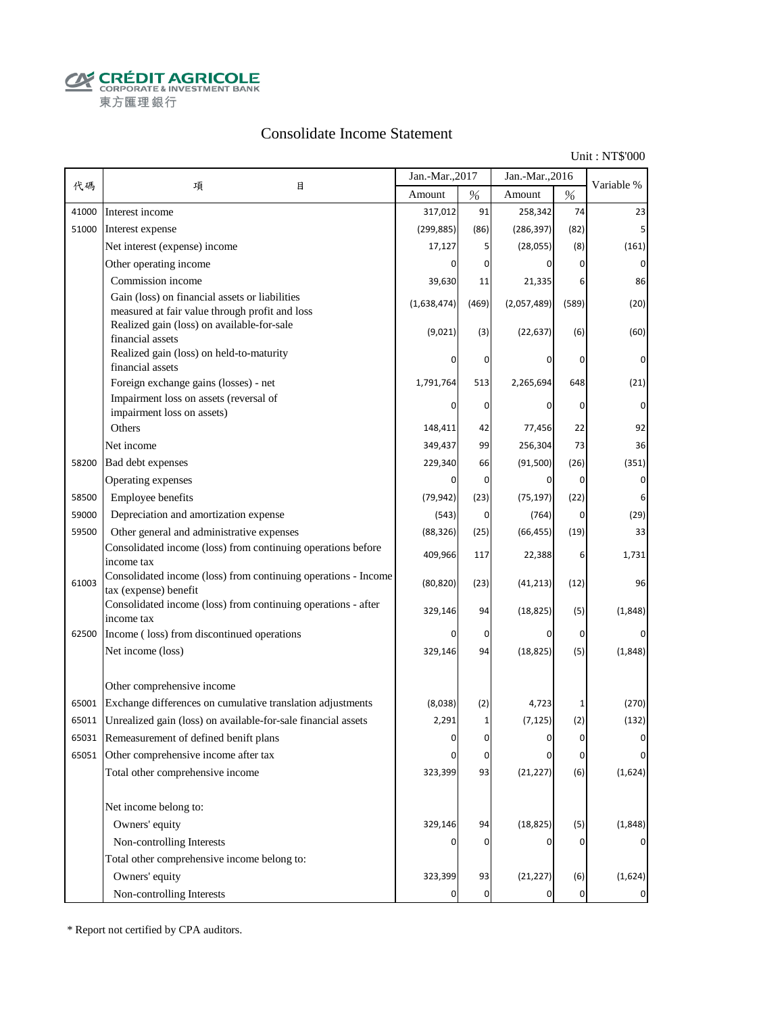**CALCOUT AGRICOLE**<br>
CORPORATE & INVESTMENT BANK<br>
東方匯理銀行

### Consolidate Income Statement

Unit : NT\$'000

|       |                                                                                                  | Jan.-Mar., 2017 |                | Jan.-Mar., 2016 |                | Variable %  |
|-------|--------------------------------------------------------------------------------------------------|-----------------|----------------|-----------------|----------------|-------------|
| 代碼    | 項<br>目                                                                                           | Amount          | $\%$           | Amount          | $\%$           |             |
| 41000 | Interest income                                                                                  | 317,012         | 91             | 258,342         | 74             | 23          |
| 51000 | Interest expense                                                                                 | (299, 885)      | (86)           | (286, 397)      | (82)           |             |
|       | Net interest (expense) income                                                                    | 17,127          | 5              | (28,055)        | (8)            | (161)       |
|       | Other operating income                                                                           | $\Omega$        | 0              | 0               | $\mathbf{0}$   | 0           |
|       | Commission income                                                                                | 39,630          | 11             | 21,335          | 6              | 86          |
|       | Gain (loss) on financial assets or liabilities<br>measured at fair value through profit and loss | (1,638,474)     | (469)          | (2,057,489)     | (589)          | (20)        |
|       | Realized gain (loss) on available-for-sale<br>financial assets                                   | (9,021)         | (3)            | (22, 637)       | (6)            | (60)        |
|       | Realized gain (loss) on held-to-maturity<br>financial assets                                     | O               | 0              | 0               | 0              | 0           |
|       | Foreign exchange gains (losses) - net                                                            | 1,791,764       | 513            | 2,265,694       | 648            | (21)        |
|       | Impairment loss on assets (reversal of                                                           |                 | 0              | 0               | 0              | $\Omega$    |
|       | impairment loss on assets)<br>Others                                                             |                 |                |                 |                |             |
|       |                                                                                                  | 148,411         | 42             | 77,456          | 22             | 92          |
|       | Net income                                                                                       | 349,437         | 99             | 256,304         | 73             | 36          |
| 58200 | Bad debt expenses                                                                                | 229,340         | 66             | (91, 500)       | (26)           | (351)       |
|       | Operating expenses                                                                               | <sup>0</sup>    | 0              | $\Omega$        | $\overline{0}$ | 0           |
| 58500 | Employee benefits                                                                                | (79, 942)       | (23)           | (75, 197)       | (22)           | 6           |
| 59000 | Depreciation and amortization expense                                                            | (543)           | 0              | (764)           | 0              | (29)        |
| 59500 | Other general and administrative expenses                                                        | (88, 326)       | (25)           | (66, 455)       | (19)           | 33          |
|       | Consolidated income (loss) from continuing operations before<br>income tax                       | 409,966         | 117            | 22,388          | 6              | 1,731       |
| 61003 | Consolidated income (loss) from continuing operations - Income<br>tax (expense) benefit          | (80, 820)       | (23)           | (41, 213)       | (12)           | 96          |
|       | Consolidated income (loss) from continuing operations - after<br>income tax                      | 329,146         | 94             | (18, 825)       | (5)            | (1,848)     |
| 62500 | Income (loss) from discontinued operations                                                       | 0               | 0              | 0               | 0              |             |
|       | Net income (loss)                                                                                | 329,146         | 94             | (18, 825)       | (5)            | (1,848)     |
|       | Other comprehensive income                                                                       |                 |                |                 |                |             |
| 65001 | Exchange differences on cumulative translation adjustments                                       | (8,038)         | (2)            | 4,723           | 1              | (270)       |
| 65011 | Unrealized gain (loss) on available-for-sale financial assets                                    | 2,291           | 1              | (7, 125)        | (2)            | (132)       |
| 65031 | Remeasurement of defined benift plans                                                            |                 | U              | U               | $\Omega$       |             |
| 65051 | Other comprehensive income after tax                                                             | 0               | 0              | 0               | 0              | 0           |
|       | Total other comprehensive income                                                                 | 323,399         | 93             | (21, 227)       | (6)            | (1,624)     |
|       | Net income belong to:                                                                            |                 |                |                 |                |             |
|       | Owners' equity                                                                                   | 329,146         | 94             | (18, 825)       | (5)            | (1,848)     |
|       | Non-controlling Interests                                                                        |                 | 0              | 0               | 0              |             |
|       | Total other comprehensive income belong to:                                                      |                 |                |                 |                |             |
|       | Owners' equity                                                                                   | 323,399         | 93             | (21, 227)       | (6)            | (1,624)     |
|       | Non-controlling Interests                                                                        |                 | $\overline{0}$ | 0               | $\mathbf 0$    | $\mathbf 0$ |

\* Report not certified by CPA auditors.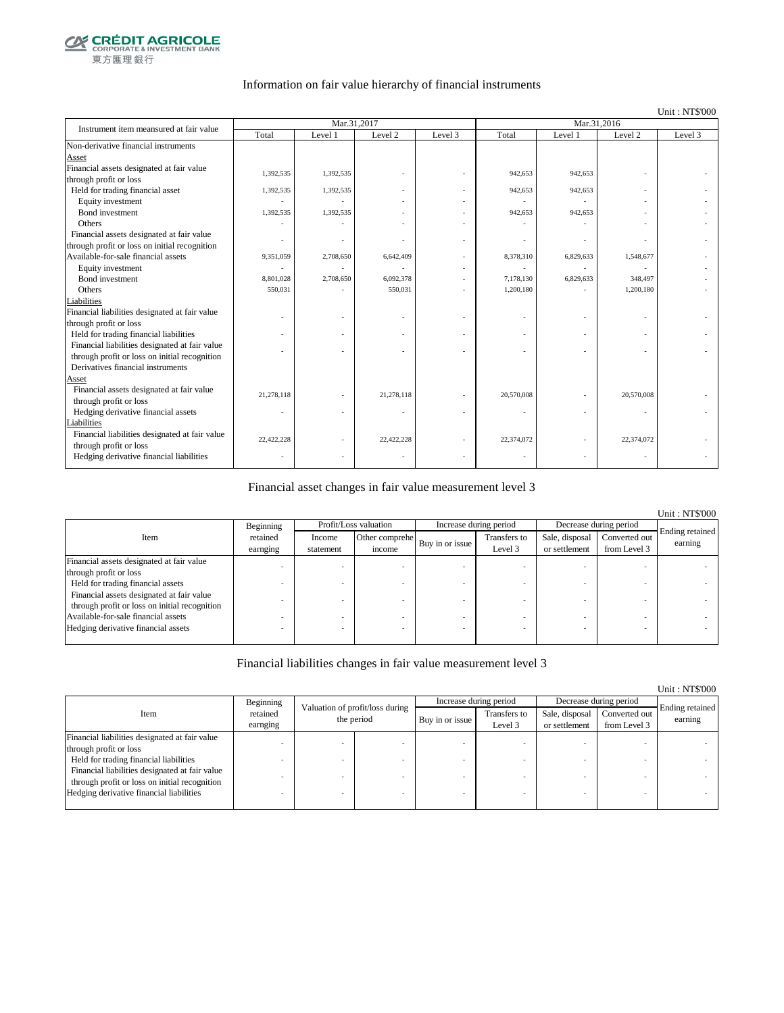

#### Information on fair value hierarchy of financial instruments

#### Unit : NT\$'000

| Instrument item meansured at fair value        |            | Mar.31,2017 |            |         | Mar.31,2016 |           |            |         |
|------------------------------------------------|------------|-------------|------------|---------|-------------|-----------|------------|---------|
|                                                | Total      | Level 1     | Level 2    | Level 3 | Total       | Level 1   | Level 2    | Level 3 |
| Non-derivative financial instruments           |            |             |            |         |             |           |            |         |
| Asset                                          |            |             |            |         |             |           |            |         |
| Financial assets designated at fair value      | 1,392,535  | 1,392,535   |            |         | 942,653     | 942,653   |            |         |
| through profit or loss                         |            |             |            |         |             |           |            |         |
| Held for trading financial asset               | 1,392,535  | 1,392,535   |            |         | 942,653     | 942,653   |            |         |
| Equity investment                              |            |             |            |         |             |           |            |         |
| <b>Bond</b> investment                         | 1,392,535  | 1,392,535   |            |         | 942,653     | 942,653   |            |         |
| Others                                         |            |             |            |         |             |           |            |         |
| Financial assets designated at fair value      |            |             |            |         |             |           |            |         |
| through profit or loss on initial recognition  |            |             |            |         |             |           |            |         |
| Available-for-sale financial assets            | 9,351,059  | 2,708,650   | 6,642,409  |         | 8,378,310   | 6,829,633 | 1,548,677  |         |
| Equity investment                              |            |             |            |         |             |           |            |         |
| Bond investment                                | 8,801,028  | 2,708,650   | 6,092,378  |         | 7,178,130   | 6,829,633 | 348,497    |         |
| Others                                         | 550,031    |             | 550,031    | ÷       | 1,200,180   |           | 1,200,180  |         |
| Liabilities                                    |            |             |            |         |             |           |            |         |
| Financial liabilities designated at fair value |            |             |            |         |             |           |            |         |
| through profit or loss                         |            |             |            |         |             |           |            |         |
| Held for trading financial liabilities         |            |             |            |         |             |           |            |         |
| Financial liabilities designated at fair value |            |             |            |         |             |           |            |         |
| through profit or loss on initial recognition  |            |             |            |         |             |           |            |         |
| Derivatives financial instruments              |            |             |            |         |             |           |            |         |
| Asset                                          |            |             |            |         |             |           |            |         |
| Financial assets designated at fair value      | 21,278,118 |             | 21,278,118 |         | 20,570,008  |           | 20,570,008 |         |
| through profit or loss                         |            |             |            |         |             |           |            |         |
| Hedging derivative financial assets            | ٠          |             |            |         |             |           | ٠          |         |
| Liabilities                                    |            |             |            |         |             |           |            |         |
| Financial liabilities designated at fair value | 22,422,228 |             | 22,422,228 |         | 22,374,072  |           | 22,374,072 |         |
| through profit or loss                         |            |             |            |         |             |           |            |         |
| Hedging derivative financial liabilities       |            |             |            |         |             |           |            |         |

#### Financial asset changes in fair value measurement level 3

|                                                                                            |                      |                     |                          |                        |                         |                                 |                               | <b>Unit: NT\$'000</b>      |
|--------------------------------------------------------------------------------------------|----------------------|---------------------|--------------------------|------------------------|-------------------------|---------------------------------|-------------------------------|----------------------------|
|                                                                                            | Beginning            |                     | Profit/Loss valuation    | Increase during period |                         | Decrease during period          |                               |                            |
| Item                                                                                       | retained<br>earnging | Income<br>statement | Other comprehe<br>income | Buy in or issue        | Transfers to<br>Level 3 | Sale, disposal<br>or settlement | Converted out<br>from Level 3 | Ending retained<br>earning |
| Financial assets designated at fair value                                                  |                      |                     |                          |                        |                         |                                 |                               |                            |
| through profit or loss                                                                     |                      |                     |                          |                        |                         |                                 |                               |                            |
| Held for trading financial assets                                                          |                      |                     |                          |                        |                         |                                 |                               |                            |
| Financial assets designated at fair value<br>through profit or loss on initial recognition |                      |                     |                          |                        |                         |                                 |                               |                            |
| Available-for-sale financial assets                                                        |                      |                     |                          |                        |                         |                                 |                               |                            |
| Hedging derivative financial assets                                                        |                      |                     |                          |                        |                         |                                 |                               |                            |

#### Financial liabilities changes in fair value measurement level 3

|                                                |                      |   |                                               |                 |                         |                                 |                               | Unit: NT\$'000             |
|------------------------------------------------|----------------------|---|-----------------------------------------------|-----------------|-------------------------|---------------------------------|-------------------------------|----------------------------|
|                                                | Beginning            |   |                                               |                 | Increase during period  |                                 | Decrease during period        |                            |
| Item                                           | retained<br>earnging |   | Valuation of profit/loss during<br>the period | Buy in or issue | Transfers to<br>Level 3 | Sale, disposal<br>or settlement | Converted out<br>from Level 3 | Ending retained<br>earning |
| Financial liabilities designated at fair value |                      |   |                                               |                 |                         |                                 |                               |                            |
| through profit or loss                         |                      |   |                                               |                 |                         |                                 |                               |                            |
| Held for trading financial liabilities         |                      |   |                                               |                 |                         |                                 |                               |                            |
| Financial liabilities designated at fair value |                      |   |                                               |                 |                         |                                 |                               |                            |
| through profit or loss on initial recognition  |                      |   |                                               |                 |                         |                                 |                               |                            |
| Hedging derivative financial liabilities       |                      | ۰ |                                               |                 |                         | <b>.</b>                        |                               |                            |
|                                                |                      |   |                                               |                 |                         |                                 |                               |                            |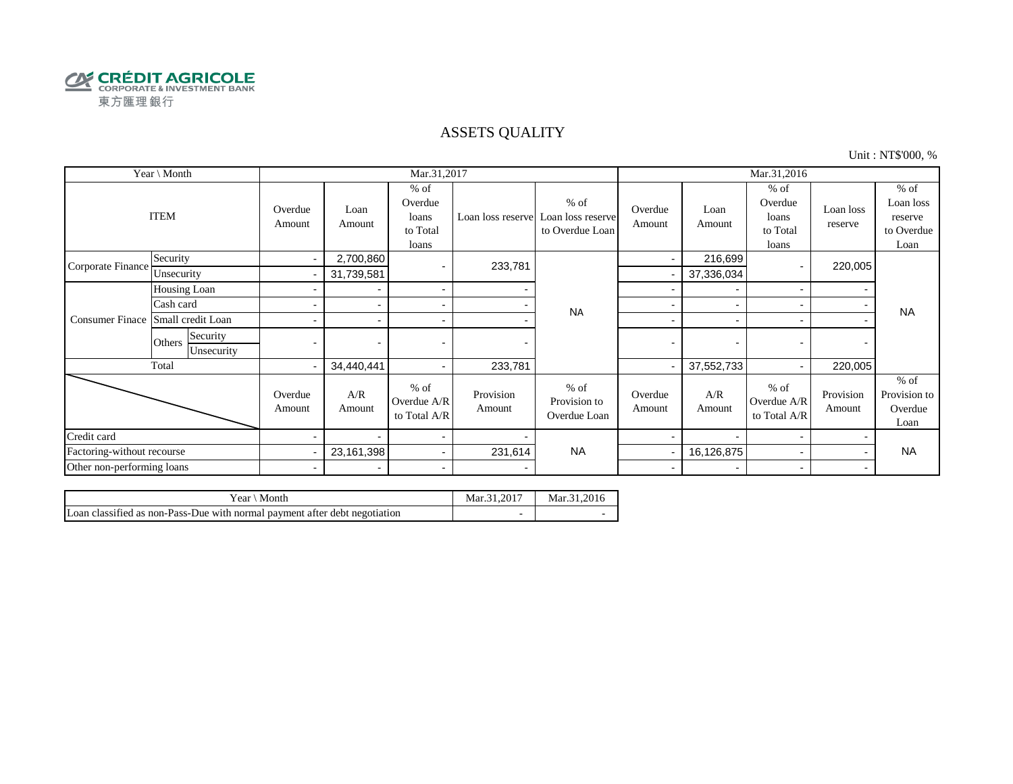

#### ASSETS QUALITY

Unit : NT\$'000, %

| Year \ Month               |                                  |                   |                          | Mar.31,2017                                     |                     |                                                                  | Mar.31,2016              |                          |                                                 |                          |                                                      |  |
|----------------------------|----------------------------------|-------------------|--------------------------|-------------------------------------------------|---------------------|------------------------------------------------------------------|--------------------------|--------------------------|-------------------------------------------------|--------------------------|------------------------------------------------------|--|
| <b>ITEM</b>                |                                  | Overdue<br>Amount | Loan<br>Amount           | $%$ of<br>Overdue<br>loans<br>to Total<br>loans |                     | $%$ of<br>Loan loss reserve Loan loss reserve<br>to Overdue Loan | Overdue<br>Amount        | Loan<br>Amount           | $%$ of<br>Overdue<br>loans<br>to Total<br>loans | Loan loss<br>reserve     | $%$ of<br>Loan loss<br>reserve<br>to Overdue<br>Loan |  |
| Corporate Finance          | Security                         | $\sim$            | 2,700,860                |                                                 | 233,781             |                                                                  | $\blacksquare$           | 216,699                  |                                                 | 220,005                  |                                                      |  |
|                            | Unsecurity                       |                   | 31,739,581               |                                                 |                     |                                                                  |                          | 37,336,034               |                                                 |                          |                                                      |  |
|                            | Housing Loan                     |                   |                          | $\sim$                                          |                     | <b>NA</b>                                                        |                          |                          | $\blacksquare$                                  |                          |                                                      |  |
|                            | Cash card                        |                   |                          | $\sim$                                          |                     |                                                                  |                          |                          |                                                 |                          | <b>NA</b>                                            |  |
| <b>Consumer Finace</b>     | Small credit Loan                |                   |                          | $\overline{\phantom{a}}$                        |                     |                                                                  | -                        | $\overline{\phantom{0}}$ |                                                 |                          |                                                      |  |
|                            | Security<br>Others<br>Unsecurity | $\blacksquare$    | $\overline{\phantom{0}}$ |                                                 |                     |                                                                  | $\blacksquare$           | $\overline{\phantom{0}}$ |                                                 | $\overline{\phantom{0}}$ |                                                      |  |
|                            | Total                            | $\blacksquare$    | 34,440,441               | $\sim$                                          | 233,781             |                                                                  |                          | 37,552,733               |                                                 | 220,005                  |                                                      |  |
|                            |                                  | Overdue<br>Amount | A/R<br>Amount            | $%$ of<br>Overdue A/R<br>to Total A/R           | Provision<br>Amount | $%$ of<br>Provision to<br>Overdue Loan                           | Overdue<br>Amount        | A/R<br>Amount            | $%$ of<br>Overdue A/R<br>to Total A/R           | Provision<br>Amount      | $%$ of<br>Provision to<br>Overdue<br>Loan            |  |
| Credit card                |                                  |                   |                          | $\sim$                                          |                     |                                                                  |                          |                          |                                                 |                          |                                                      |  |
| Factoring-without recourse |                                  |                   | 23,161,398               | $\sim$                                          | 231,614             | <b>NA</b>                                                        |                          | 16,126,875               |                                                 |                          | <b>NA</b>                                            |  |
| Other non-performing loans |                                  | $\blacksquare$    | $\overline{\phantom{0}}$ | $\blacksquare$                                  |                     |                                                                  | $\overline{\phantom{0}}$ | $\overline{\phantom{0}}$ | $\overline{\phantom{0}}$                        |                          |                                                      |  |

| Year \ Month                                                               | Mar.31.2017 | Mar.31.2016 |
|----------------------------------------------------------------------------|-------------|-------------|
| Loan classified as non-Pass-Due with normal payment after debt negotiation |             |             |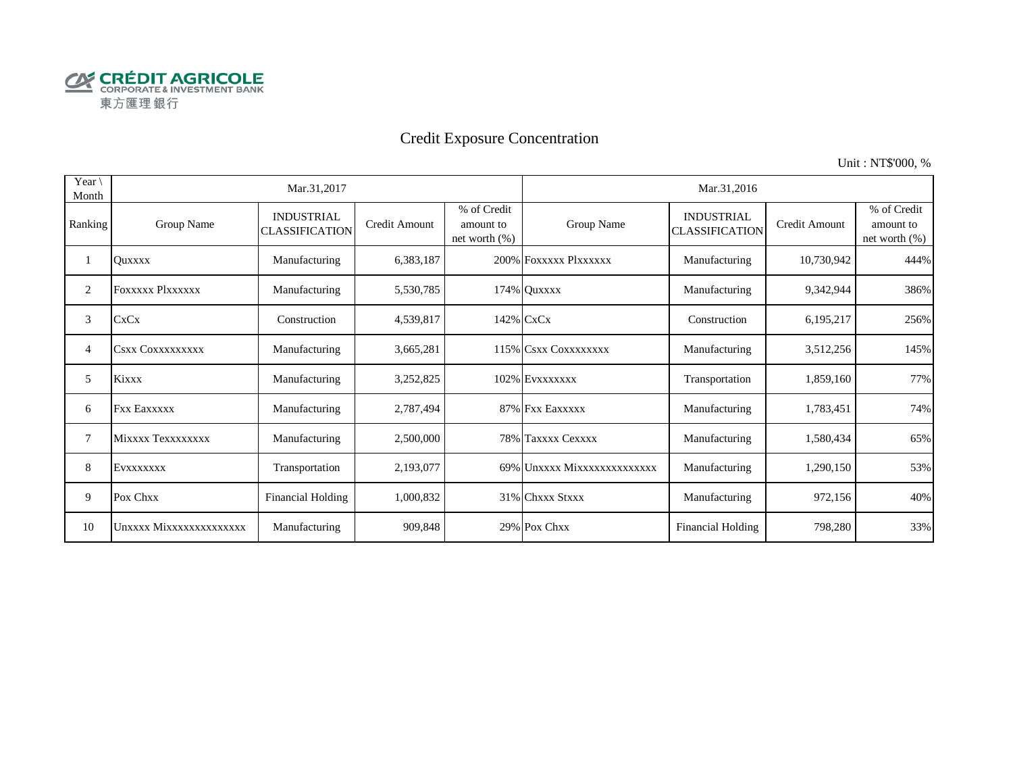

# Credit Exposure Concentration

Unit : NT\$'000, %

| Year \<br>Month |                         | Mar.31,2017                                |                      |                                              | Mar.31,2016                 |                                            |               |                                           |  |  |
|-----------------|-------------------------|--------------------------------------------|----------------------|----------------------------------------------|-----------------------------|--------------------------------------------|---------------|-------------------------------------------|--|--|
| Ranking         | Group Name              | <b>INDUSTRIAL</b><br><b>CLASSIFICATION</b> | <b>Credit Amount</b> | % of Credit<br>amount to<br>net worth $(\%)$ | Group Name                  | <b>INDUSTRIAL</b><br><b>CLASSIFICATION</b> | Credit Amount | % of Credit<br>amount to<br>net worth (%) |  |  |
|                 | <b>Ouxxxx</b>           | Manufacturing                              | 6,383,187            |                                              | 200% FOXXXXX PlXXXXXX       | Manufacturing                              | 10,730,942    | 444%                                      |  |  |
| 2               | <b>FOXXXXX PIXXXXXX</b> | Manufacturing                              | 5,530,785            |                                              | 174% Quxxxx                 | Manufacturing                              | 9,342,944     | 386%                                      |  |  |
| 3               | <b>CxCx</b>             | Construction                               | 4,539,817            |                                              | 142% CxCx                   | Construction                               | 6,195,217     | 256%                                      |  |  |
| 4               | <b>CSXX COXXXXXXXXX</b> | Manufacturing                              | 3,665,281            |                                              | 115% CSXX COXXXXXXX         | Manufacturing                              | 3,512,256     | 145%                                      |  |  |
| 5               | <b>Kixxx</b>            | Manufacturing                              | 3,252,825            |                                              | 102% EVXXXXXX               | Transportation                             | 1,859,160     | 77%                                       |  |  |
| 6               | <b>Fxx Eaxxxxx</b>      | Manufacturing                              | 2,787,494            |                                              | 87% Fxx Eaxxxxx             | Manufacturing                              | 1,783,451     | 74%                                       |  |  |
| 7               | Mixxxx Texxxxxxxx       | Manufacturing                              | 2,500,000            |                                              | 78% Taxxxx Cexxxx           | Manufacturing                              | 1,580,434     | 65%                                       |  |  |
| 8               | EVXXXXXXX               | Transportation                             | 2,193,077            |                                              | 69% Unxxxx Mixxxxxxxxxxxxxx | Manufacturing                              | 1,290,150     | 53%                                       |  |  |
| 9               | Pox Chxx                | <b>Financial Holding</b>                   | 1,000,832            |                                              | 31% Chxxx Stxxx             | Manufacturing                              | 972,156       | 40%                                       |  |  |
| 10              | Unxxxx Mixxxxxxxxxxxxxx | Manufacturing                              | 909,848              |                                              | 29% Pox Chxx                | <b>Financial Holding</b>                   | 798,280       | 33%                                       |  |  |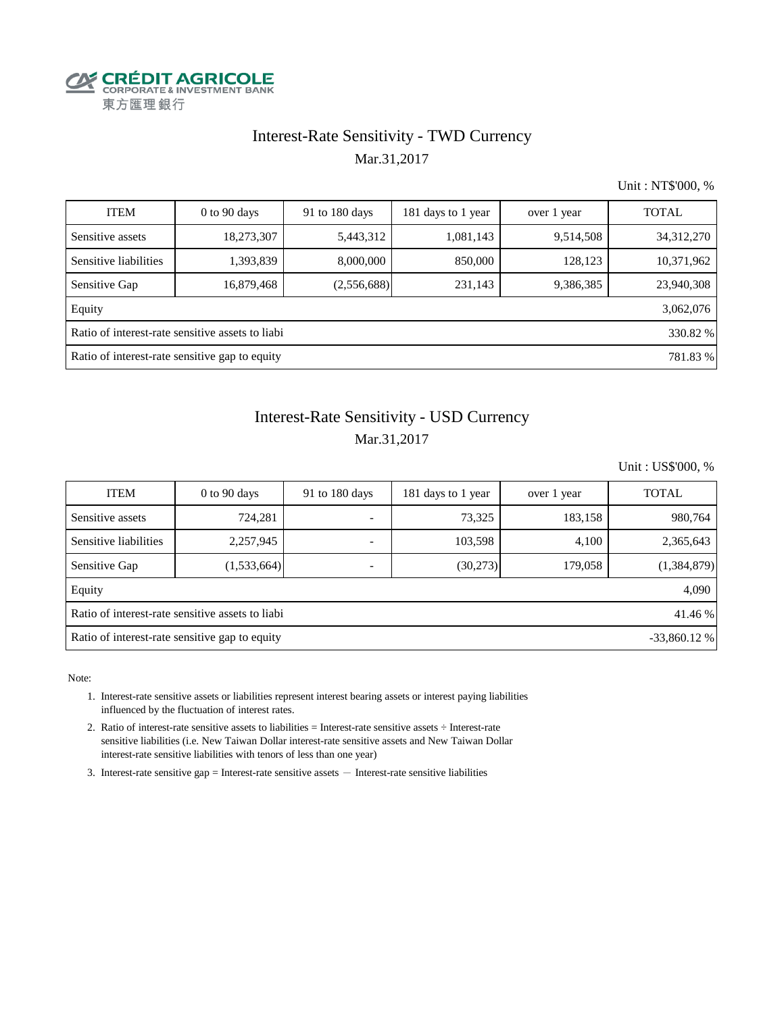

## Interest-Rate Sensitivity - TWD Currency Mar.31,2017

Unit : NT\$'000, %

| <b>ITEM</b>                                                  | $0$ to $90$ days                                           | 91 to 180 days | 181 days to 1 year | over 1 year | <b>TOTAL</b> |  |  |  |  |  |
|--------------------------------------------------------------|------------------------------------------------------------|----------------|--------------------|-------------|--------------|--|--|--|--|--|
| Sensitive assets                                             | 18,273,307                                                 | 5,443,312      | 1,081,143          | 9,514,508   | 34, 312, 270 |  |  |  |  |  |
| Sensitive liabilities                                        | 1,393,839                                                  | 8,000,000      | 850,000            | 128,123     | 10,371,962   |  |  |  |  |  |
| Sensitive Gap                                                | 16,879,468                                                 | (2,556,688)    | 231,143            | 9,386,385   | 23,940,308   |  |  |  |  |  |
| Equity                                                       |                                                            |                |                    |             | 3,062,076    |  |  |  |  |  |
| Ratio of interest-rate sensitive assets to liabi<br>330.82 % |                                                            |                |                    |             |              |  |  |  |  |  |
|                                                              | Ratio of interest-rate sensitive gap to equity<br>781.83 % |                |                    |             |              |  |  |  |  |  |

## Mar.31,2017 Interest-Rate Sensitivity - USD Currency

Unit : US\$'000, %

| <b>ITEM</b>                                                 | $0$ to 90 days                                                  | 91 to 180 days | 181 days to 1 year | over 1 year | <b>TOTAL</b> |  |  |  |  |  |
|-------------------------------------------------------------|-----------------------------------------------------------------|----------------|--------------------|-------------|--------------|--|--|--|--|--|
| Sensitive assets                                            | 724,281                                                         |                | 73,325             | 183,158     | 980,764      |  |  |  |  |  |
| Sensitive liabilities                                       | 2,257,945                                                       |                | 103,598            | 4,100       | 2,365,643    |  |  |  |  |  |
| Sensitive Gap                                               | (1,533,664)                                                     |                | (30,273)           | 179,058     | (1,384,879)  |  |  |  |  |  |
| Equity                                                      |                                                                 |                |                    |             | 4,090        |  |  |  |  |  |
| Ratio of interest-rate sensitive assets to liabi<br>41.46 % |                                                                 |                |                    |             |              |  |  |  |  |  |
|                                                             | Ratio of interest-rate sensitive gap to equity<br>$-33,860.12%$ |                |                    |             |              |  |  |  |  |  |

Note:

- 1. Interest-rate sensitive assets or liabilities represent interest bearing assets or interest paying liabilities influenced by the fluctuation of interest rates.
- 2. Ratio of interest-rate sensitive assets to liabilities = Interest-rate sensitive assets ÷ Interest-rate sensitive liabilities (i.e. New Taiwan Dollar interest-rate sensitive assets and New Taiwan Dollar interest-rate sensitive liabilities with tenors of less than one year)
- 3. Interest-rate sensitive gap = Interest-rate sensitive assets  $-$  Interest-rate sensitive liabilities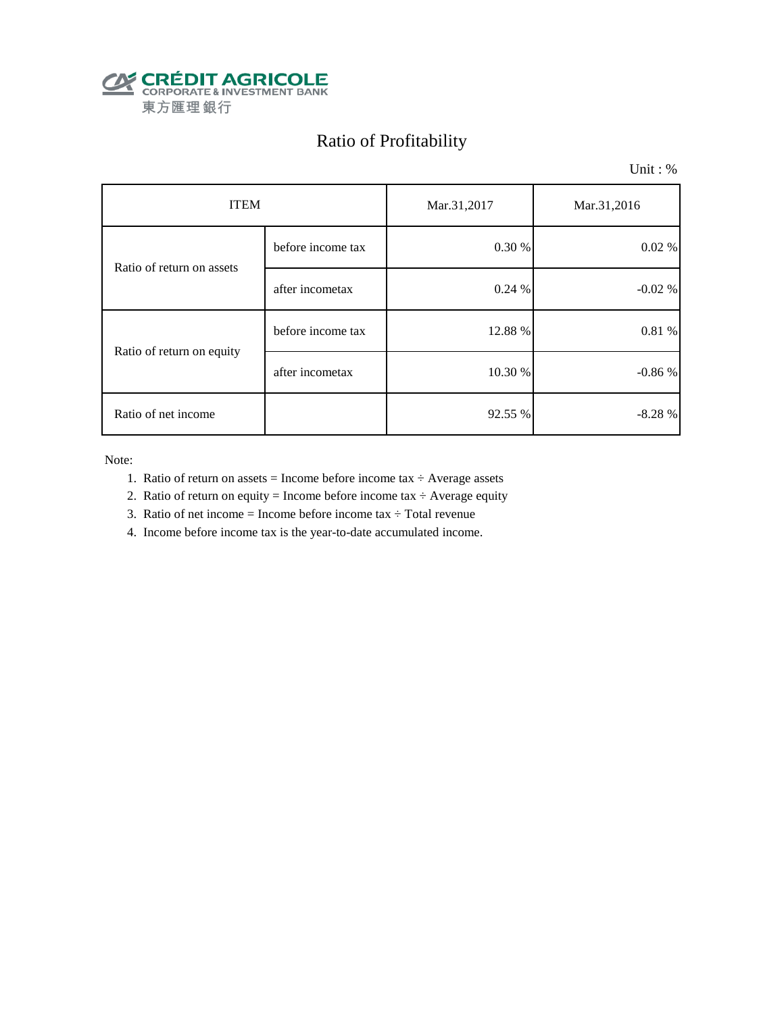

# Ratio of Profitability

Unit : %

| <b>ITEM</b>               |                   | Mar.31,2017 | Mar.31,2016 |  |
|---------------------------|-------------------|-------------|-------------|--|
| Ratio of return on assets | before income tax | 0.30 %      | 0.02 %      |  |
|                           | after incometax   | 0.24%       | $-0.02%$    |  |
|                           | before income tax | 12.88 %     | 0.81 %      |  |
| Ratio of return on equity | after incometax   | 10.30 %     | $-0.86%$    |  |
| Ratio of net income       |                   | 92.55 %     | $-8.28%$    |  |

Note:

- 1. Ratio of return on assets = Income before income tax  $\div$  Average assets
- 2. Ratio of return on equity = Income before income tax  $\div$  Average equity
- 3. Ratio of net income = Income before income tax  $\div$  Total revenue
- 4. Income before income tax is the year-to-date accumulated income.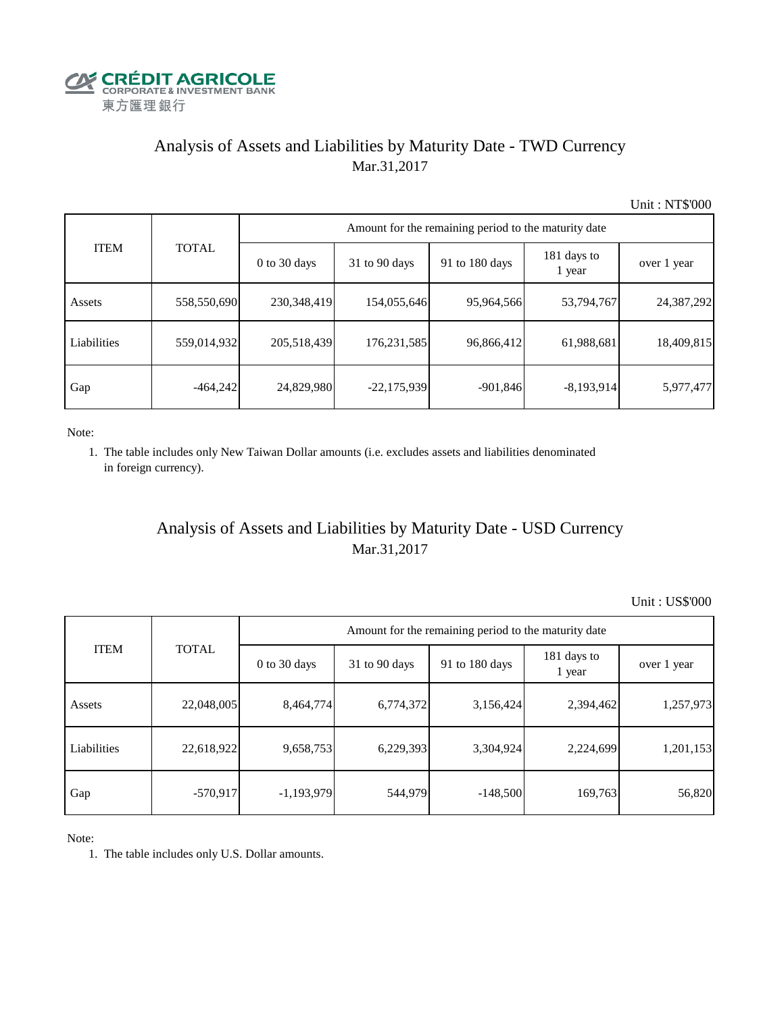

## Analysis of Assets and Liabilities by Maturity Date - TWD Currency Mar.31,2017

Unit : NT\$'000

| <b>ITEM</b> | <b>TOTAL</b> | Amount for the remaining period to the maturity date |                 |                |                       |             |  |  |
|-------------|--------------|------------------------------------------------------|-----------------|----------------|-----------------------|-------------|--|--|
|             |              | $0$ to 30 days                                       | $31$ to 90 days | 91 to 180 days | 181 days to<br>1 year | over 1 year |  |  |
| Assets      | 558,550,690  | 230,348,419                                          | 154,055,646     | 95,964,566     | 53,794,767            | 24,387,292  |  |  |
| Liabilities | 559,014,932  | 205,518,439                                          | 176, 231, 585   | 96,866,412     | 61,988,681            | 18,409,815  |  |  |
| Gap         | $-464,242$   | 24,829,980                                           | $-22,175,939$   | $-901,846$     | $-8,193,914$          | 5,977,477   |  |  |

Note:

 1. The table includes only New Taiwan Dollar amounts (i.e. excludes assets and liabilities denominated in foreign currency).

## Analysis of Assets and Liabilities by Maturity Date - USD Currency Mar.31,2017

Unit : US\$'000

| <b>ITEM</b> | <b>TOTAL</b> | Amount for the remaining period to the maturity date |                 |                |                       |             |  |  |
|-------------|--------------|------------------------------------------------------|-----------------|----------------|-----------------------|-------------|--|--|
|             |              | $0$ to 30 days                                       | $31$ to 90 days | 91 to 180 days | 181 days to<br>1 year | over 1 year |  |  |
| Assets      | 22,048,005   | 8,464,774                                            | 6,774,372       | 3,156,424      | 2,394,462             | 1,257,973   |  |  |
| Liabilities | 22,618,922   | 9,658,753                                            | 6,229,393       | 3,304,924      | 2,224,699             | 1,201,153   |  |  |
| Gap         | $-570,917$   | $-1,193,979$                                         | 544,979         | $-148,500$     | 169,763               | 56,820      |  |  |

Note:

1. The table includes only U.S. Dollar amounts.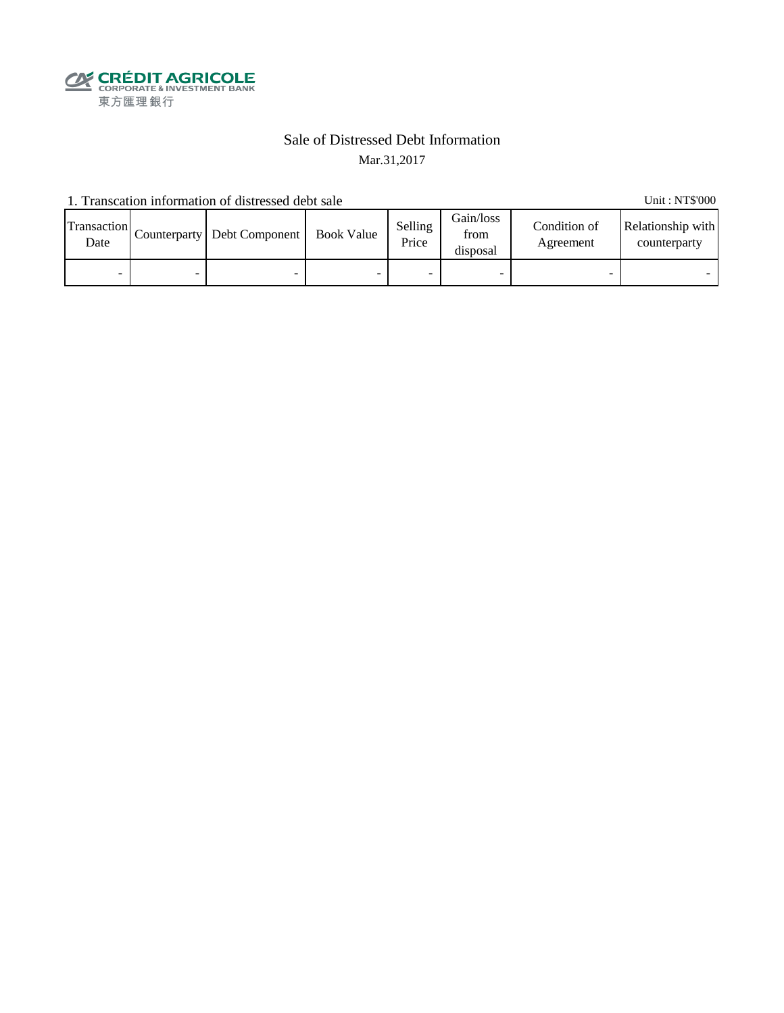

### Sale of Distressed Debt Information Mar.31,2017

1. Transcation information of distressed debt sale Unit: NT\$'000

Transaction  $\frac{\text{D}}{\text{Date}}$  Counterparty Debt Component Book Value Selling Price Gain/loss from disposal Condition of Agreement Relationship with counterparty - - - - - - - -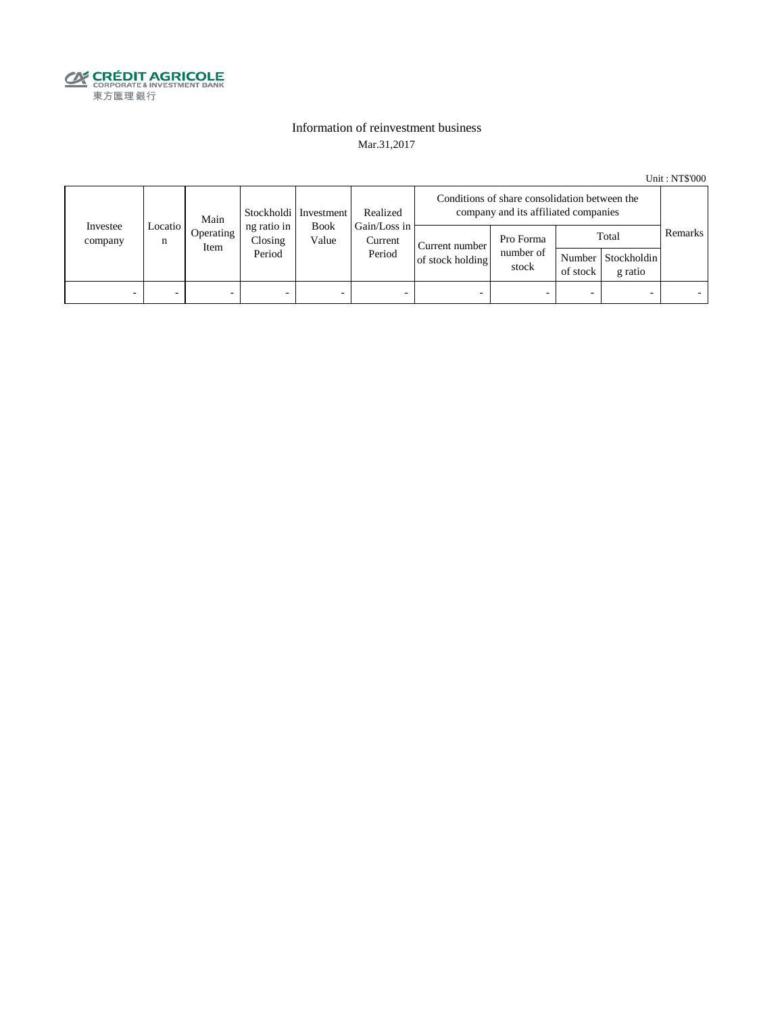

#### Information of reinvestment business Mar.31,2017

Unit : NT\$'000

| Investee<br>company | Main<br>Locatio<br>n<br>Item |           | Stockholdi   Investment          | Realized                           | Conditions of share consolidation between the<br>company and its affiliated companies |                                    |                                 |                          |                                        |         |
|---------------------|------------------------------|-----------|----------------------------------|------------------------------------|---------------------------------------------------------------------------------------|------------------------------------|---------------------------------|--------------------------|----------------------------------------|---------|
|                     |                              | Operating | ng ratio in<br>Closing<br>Period | Book<br>Value<br>Current<br>Period | Gain/Loss in                                                                          | Current number<br>of stock holding | Pro Forma<br>number of<br>stock | of stock                 | Total<br>Number Stockholdin<br>g ratio | Remarks |
| -                   |                              | -         | $\overline{\phantom{0}}$         | -                                  | $\overline{\phantom{a}}$                                                              | -                                  |                                 | $\overline{\phantom{0}}$ |                                        |         |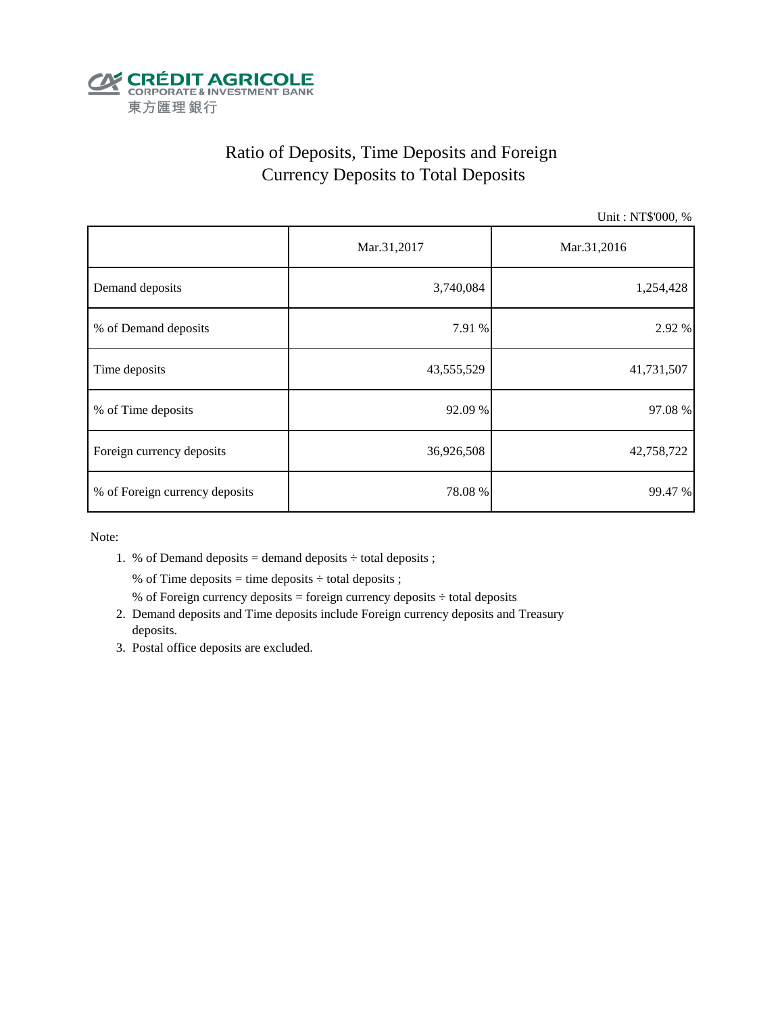

# Ratio of Deposits, Time Deposits and Foreign Currency Deposits to Total Deposits

Unit : NT\$'000, %

|                                | Mar.31,2017 | Mar.31,2016 |  |  |
|--------------------------------|-------------|-------------|--|--|
| Demand deposits                | 3,740,084   | 1,254,428   |  |  |
| % of Demand deposits           | 7.91 %      | 2.92 %      |  |  |
| Time deposits                  | 43,555,529  | 41,731,507  |  |  |
| % of Time deposits             | 92.09 %     | 97.08%      |  |  |
| Foreign currency deposits      | 36,926,508  | 42,758,722  |  |  |
| % of Foreign currency deposits | 78.08%      | 99.47 %     |  |  |

Note:

1. % of Demand deposits = demand deposits  $\div$  total deposits ;

% of Time deposits = time deposits  $\div$  total deposits ;

- % of Foreign currency deposits = foreign currency deposits  $\div$  total deposits
- 2. Demand deposits and Time deposits include Foreign currency deposits and Treasury deposits.
- 3. Postal office deposits are excluded.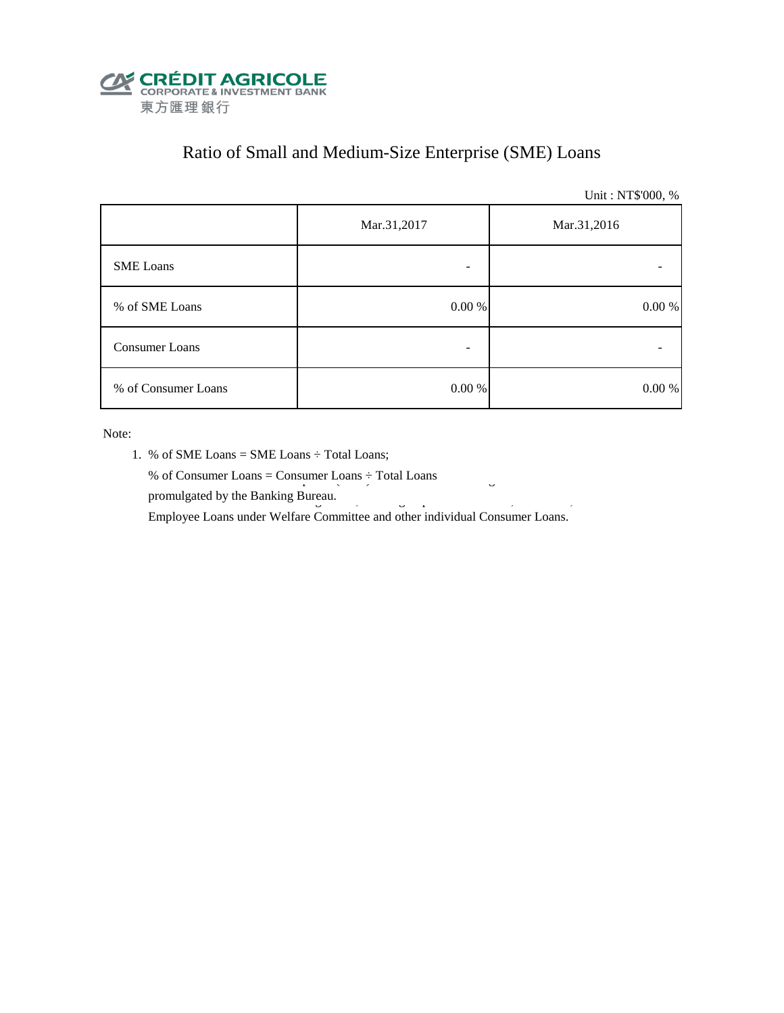

# Ratio of Small and Medium-Size Enterprise (SME) Loans

Unit : NT\$'000, %

|                     | Mar.31,2017 | Mar.31,2016 |  |  |
|---------------------|-------------|-------------|--|--|
| <b>SME</b> Loans    |             |             |  |  |
| % of SME Loans      | $0.00~\%$   | $0.00\ \%$  |  |  |
| Consumer Loans      | -           |             |  |  |
| % of Consumer Loans | 0.00 %      | 0.00 %      |  |  |

Note:

- 1. % of SME Loans = SME Loans ÷ Total Loans;
- % of Consumer Loans = Consumer Loans  $\div$  Total Loans promulgated by the Banking Bureau.  $\frac{3}{5}$

Employee Loans under Welfare Committee and other individual Consumer Loans.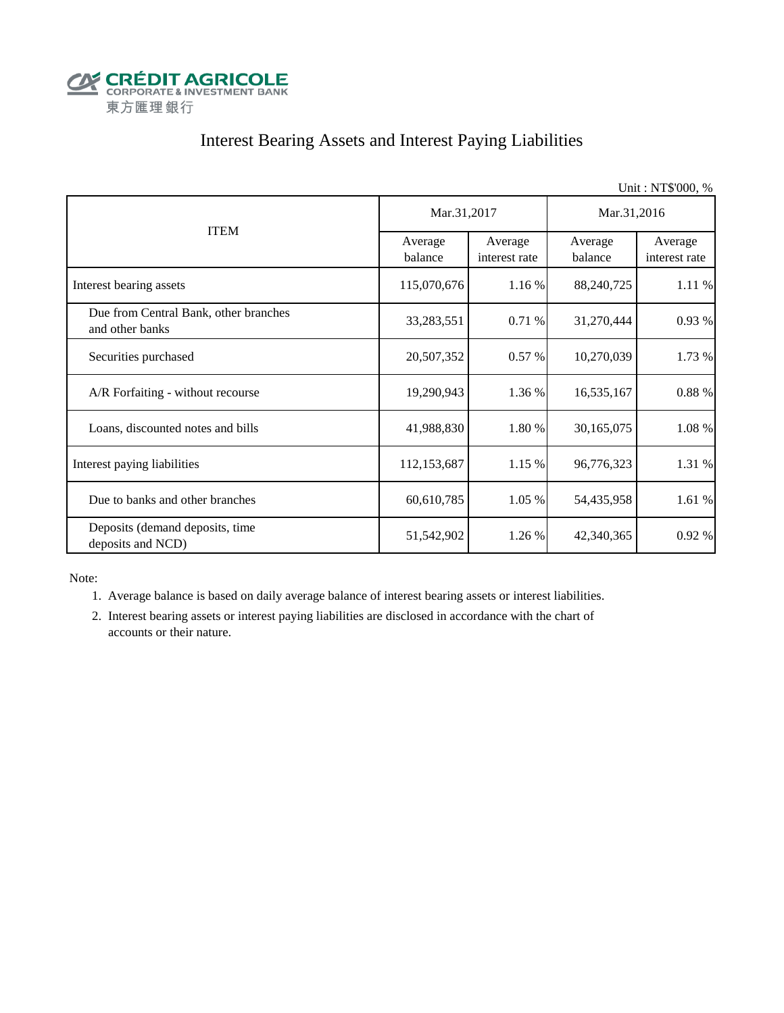

## Interest Bearing Assets and Interest Paying Liabilities

|                                                          |                    |                          |                    | Unit: NT\$'000, %        |  |
|----------------------------------------------------------|--------------------|--------------------------|--------------------|--------------------------|--|
|                                                          | Mar.31,2017        |                          | Mar.31,2016        |                          |  |
| <b>ITEM</b>                                              | Average<br>balance | Average<br>interest rate | Average<br>balance | Average<br>interest rate |  |
| Interest bearing assets                                  | 115,070,676        | 1.16 %                   | 88,240,725         | 1.11 %                   |  |
| Due from Central Bank, other branches<br>and other banks | 33,283,551         | 0.71%                    | 31,270,444         | 0.93%                    |  |
| Securities purchased                                     | 20,507,352         | 0.57%                    | 10,270,039         | 1.73 %                   |  |
| A/R Forfaiting - without recourse                        | 19,290,943         | 1.36 %                   | 16,535,167         | 0.88 %                   |  |
| Loans, discounted notes and bills                        | 41,988,830         | 1.80 %                   | 30,165,075         | 1.08 %                   |  |
| Interest paying liabilities                              | 112,153,687        | 1.15 %                   | 96,776,323         | 1.31 %                   |  |
| Due to banks and other branches                          | 60,610,785         | 1.05%                    | 54,435,958         | 1.61 %                   |  |
| Deposits (demand deposits, time<br>deposits and NCD)     | 51,542,902         | 1.26 %                   | 42,340,365         | 0.92%                    |  |

Note:

1. Average balance is based on daily average balance of interest bearing assets or interest liabilities.

 2. Interest bearing assets or interest paying liabilities are disclosed in accordance with the chart of accounts or their nature.